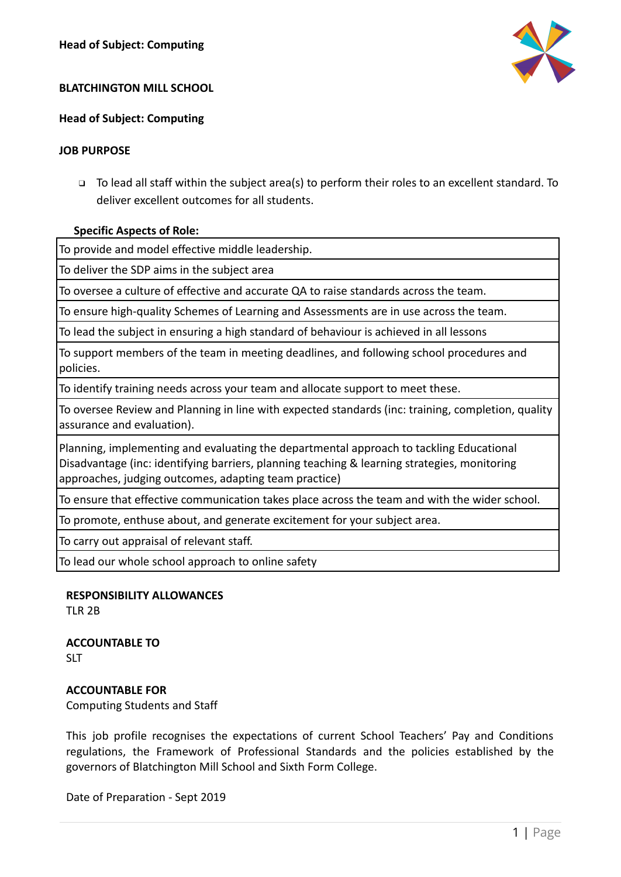

## **BLATCHINGTON MILL SCHOOL**

## **Head of Subject: Computing**

### **JOB PURPOSE**

❑ To lead all staff within the subject area(s) to perform their roles to an excellent standard. To deliver excellent outcomes for all students.

# **Specific Aspects of Role:**

To provide and model effective middle leadership.

To deliver the SDP aims in the subject area

To oversee a culture of effective and accurate QA to raise standards across the team.

To ensure high-quality Schemes of Learning and Assessments are in use across the team.

To lead the subject in ensuring a high standard of behaviour is achieved in all lessons

To support members of the team in meeting deadlines, and following school procedures and policies.

To identify training needs across your team and allocate support to meet these.

To oversee Review and Planning in line with expected standards (inc: training, completion, quality assurance and evaluation).

Planning, implementing and evaluating the departmental approach to tackling Educational Disadvantage (inc: identifying barriers, planning teaching & learning strategies, monitoring approaches, judging outcomes, adapting team practice)

To ensure that effective communication takes place across the team and with the wider school.

To promote, enthuse about, and generate excitement for your subject area.

To carry out appraisal of relevant staff.

To lead our whole school approach to online safety

#### **RESPONSIBILITY ALLOWANCES**

TLR 2B

**ACCOUNTABLE TO** SLT

**ACCOUNTABLE FOR** Computing Students and Staff

This job profile recognises the expectations of current School Teachers' Pay and Conditions regulations, the Framework of Professional Standards and the policies established by the governors of Blatchington Mill School and Sixth Form College.

Date of Preparation - Sept 2019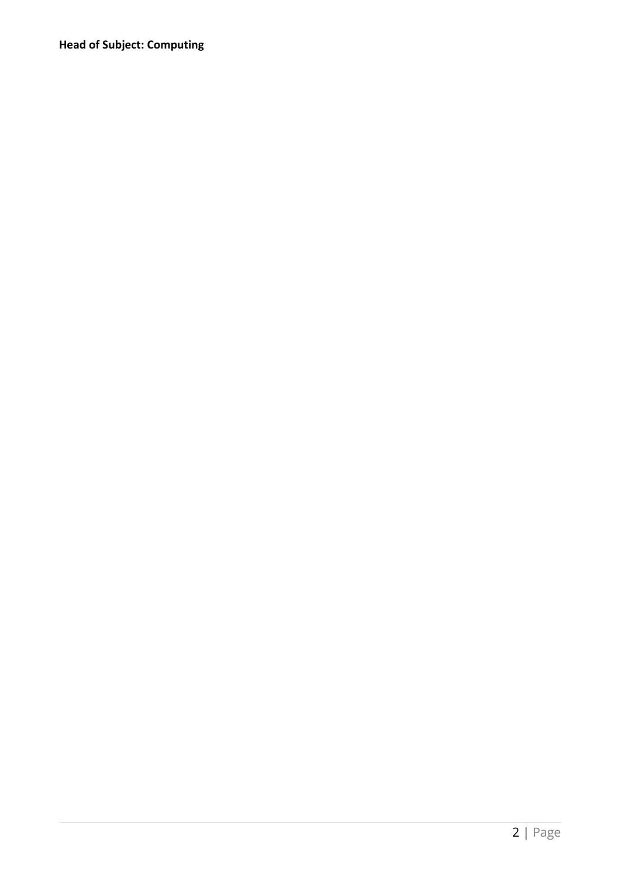**Head of Subject: Computing**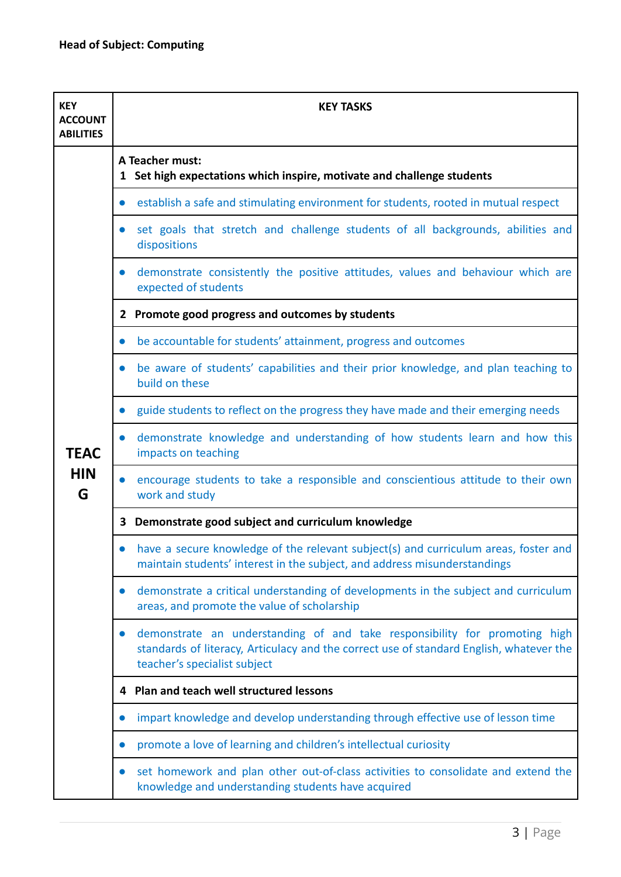| <b>KEY</b><br><b>ACCOUNT</b><br><b>ABILITIES</b> | <b>KEY TASKS</b>                                                                                                                                                                                                   |  |  |
|--------------------------------------------------|--------------------------------------------------------------------------------------------------------------------------------------------------------------------------------------------------------------------|--|--|
|                                                  | A Teacher must:<br>1 Set high expectations which inspire, motivate and challenge students                                                                                                                          |  |  |
|                                                  | establish a safe and stimulating environment for students, rooted in mutual respect<br>$\bullet$                                                                                                                   |  |  |
|                                                  | set goals that stretch and challenge students of all backgrounds, abilities and<br>dispositions                                                                                                                    |  |  |
|                                                  | demonstrate consistently the positive attitudes, values and behaviour which are<br>$\bullet$<br>expected of students                                                                                               |  |  |
|                                                  | 2 Promote good progress and outcomes by students                                                                                                                                                                   |  |  |
|                                                  | be accountable for students' attainment, progress and outcomes                                                                                                                                                     |  |  |
|                                                  | be aware of students' capabilities and their prior knowledge, and plan teaching to<br>$\bullet$<br>build on these                                                                                                  |  |  |
|                                                  | guide students to reflect on the progress they have made and their emerging needs<br>$\bullet$                                                                                                                     |  |  |
| <b>TEAC</b><br><b>HIN</b><br>G                   | demonstrate knowledge and understanding of how students learn and how this<br>$\bullet$<br>impacts on teaching                                                                                                     |  |  |
|                                                  | encourage students to take a responsible and conscientious attitude to their own<br>work and study                                                                                                                 |  |  |
|                                                  | Demonstrate good subject and curriculum knowledge<br>3.                                                                                                                                                            |  |  |
|                                                  | have a secure knowledge of the relevant subject(s) and curriculum areas, foster and<br>maintain students' interest in the subject, and address misunderstandings                                                   |  |  |
|                                                  | demonstrate a critical understanding of developments in the subject and curriculum<br>$\bullet$<br>areas, and promote the value of scholarship                                                                     |  |  |
|                                                  | demonstrate an understanding of and take responsibility for promoting high<br>$\bullet$<br>standards of literacy, Articulacy and the correct use of standard English, whatever the<br>teacher's specialist subject |  |  |
|                                                  | Plan and teach well structured lessons<br>4                                                                                                                                                                        |  |  |
|                                                  | impart knowledge and develop understanding through effective use of lesson time<br>$\bullet$                                                                                                                       |  |  |
|                                                  | promote a love of learning and children's intellectual curiosity                                                                                                                                                   |  |  |
|                                                  | set homework and plan other out-of-class activities to consolidate and extend the<br>knowledge and understanding students have acquired                                                                            |  |  |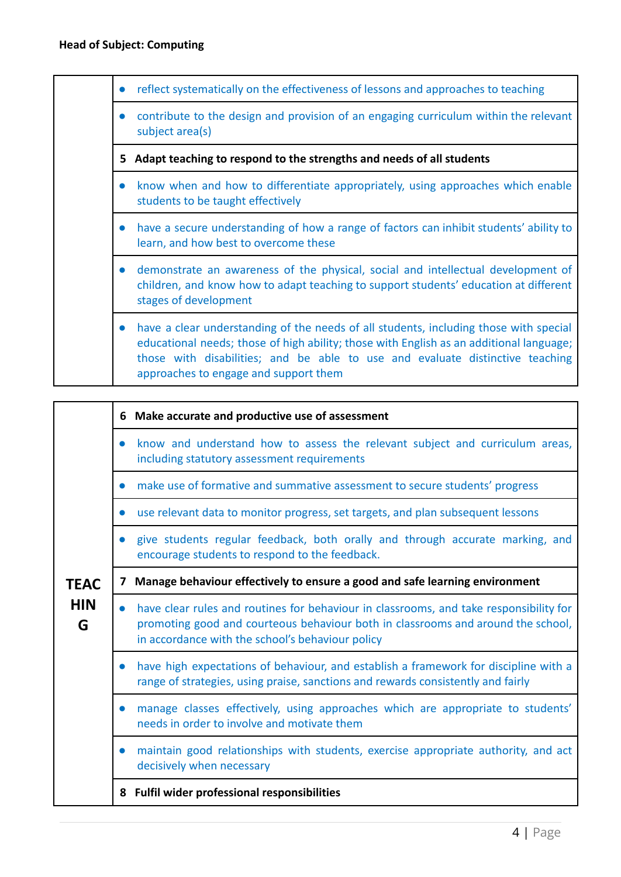|           | reflect systematically on the effectiveness of lessons and approaches to teaching                                                                                                                                                                                                                          |
|-----------|------------------------------------------------------------------------------------------------------------------------------------------------------------------------------------------------------------------------------------------------------------------------------------------------------------|
|           | contribute to the design and provision of an engaging curriculum within the relevant<br>subject area(s)                                                                                                                                                                                                    |
|           | 5 Adapt teaching to respond to the strengths and needs of all students                                                                                                                                                                                                                                     |
|           | know when and how to differentiate appropriately, using approaches which enable<br>students to be taught effectively                                                                                                                                                                                       |
|           | have a secure understanding of how a range of factors can inhibit students' ability to<br>learn, and how best to overcome these                                                                                                                                                                            |
|           | demonstrate an awareness of the physical, social and intellectual development of<br>children, and know how to adapt teaching to support students' education at different<br>stages of development                                                                                                          |
| $\bullet$ | have a clear understanding of the needs of all students, including those with special<br>educational needs; those of high ability; those with English as an additional language;<br>those with disabilities; and be able to use and evaluate distinctive teaching<br>approaches to engage and support them |

| <b>TEAC</b><br><b>HIN</b><br>G | 6.        | Make accurate and productive use of assessment                                                                                                                                                                                 |
|--------------------------------|-----------|--------------------------------------------------------------------------------------------------------------------------------------------------------------------------------------------------------------------------------|
|                                |           | know and understand how to assess the relevant subject and curriculum areas,<br>including statutory assessment requirements                                                                                                    |
|                                |           | make use of formative and summative assessment to secure students' progress                                                                                                                                                    |
|                                | $\bullet$ | use relevant data to monitor progress, set targets, and plan subsequent lessons                                                                                                                                                |
|                                | $\bullet$ | give students regular feedback, both orally and through accurate marking, and<br>encourage students to respond to the feedback.                                                                                                |
|                                | 7         | Manage behaviour effectively to ensure a good and safe learning environment                                                                                                                                                    |
|                                |           | have clear rules and routines for behaviour in classrooms, and take responsibility for<br>promoting good and courteous behaviour both in classrooms and around the school,<br>in accordance with the school's behaviour policy |
|                                |           | have high expectations of behaviour, and establish a framework for discipline with a<br>range of strategies, using praise, sanctions and rewards consistently and fairly                                                       |
|                                | $\bullet$ | manage classes effectively, using approaches which are appropriate to students'<br>needs in order to involve and motivate them                                                                                                 |
|                                | $\bullet$ | maintain good relationships with students, exercise appropriate authority, and act<br>decisively when necessary                                                                                                                |
|                                |           | 8 Fulfil wider professional responsibilities                                                                                                                                                                                   |